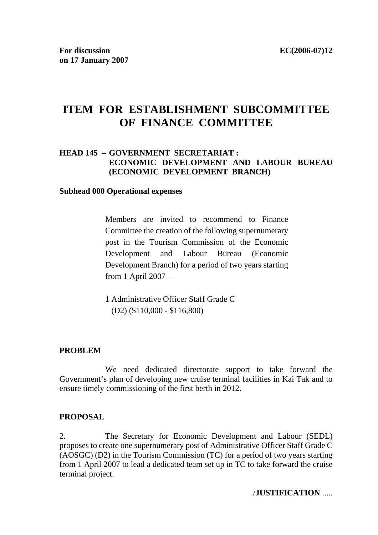# **ITEM FOR ESTABLISHMENT SUBCOMMITTEE OF FINANCE COMMITTEE**

# **HEAD 145 – GOVERNMENT SECRETARIAT : ECONOMIC DEVELOPMENT AND LABOUR BUREAU (ECONOMIC DEVELOPMENT BRANCH)**

#### **Subhead 000 Operational expenses**

Members are invited to recommend to Finance Committee the creation of the following supernumerary post in the Tourism Commission of the Economic Development and Labour Bureau (Economic Development Branch) for a period of two years starting from 1 April 2007 –

1 Administrative Officer Staff Grade C (D2) (\$110,000 - \$116,800)

#### **PROBLEM**

 We need dedicated directorate support to take forward the Government's plan of developing new cruise terminal facilities in Kai Tak and to ensure timely commissioning of the first berth in 2012.

#### **PROPOSAL**

2. The Secretary for Economic Development and Labour (SEDL) proposes to create one supernumerary post of Administrative Officer Staff Grade C (AOSGC) (D2) in the Tourism Commission (TC) for a period of two years starting from 1 April 2007 to lead a dedicated team set up in TC to take forward the cruise terminal project.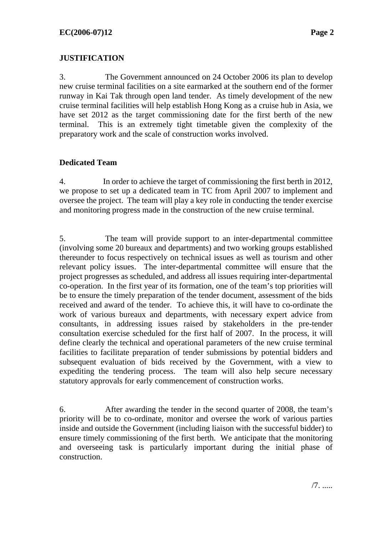# **JUSTIFICATION**

3. The Government announced on 24 October 2006 its plan to develop new cruise terminal facilities on a site earmarked at the southern end of the former runway in Kai Tak through open land tender. As timely development of the new cruise terminal facilities will help establish Hong Kong as a cruise hub in Asia, we have set 2012 as the target commissioning date for the first berth of the new terminal. This is an extremely tight timetable given the complexity of the preparatory work and the scale of construction works involved.

# **Dedicated Team**

4. In order to achieve the target of commissioning the first berth in 2012, we propose to set up a dedicated team in TC from April 2007 to implement and oversee the project. The team will play a key role in conducting the tender exercise and monitoring progress made in the construction of the new cruise terminal.

5. The team will provide support to an inter-departmental committee (involving some 20 bureaux and departments) and two working groups established thereunder to focus respectively on technical issues as well as tourism and other relevant policy issues. The inter-departmental committee will ensure that the project progresses as scheduled, and address all issues requiring inter-departmental co-operation. In the first year of its formation, one of the team's top priorities will be to ensure the timely preparation of the tender document, assessment of the bids received and award of the tender. To achieve this, it will have to co-ordinate the work of various bureaux and departments, with necessary expert advice from consultants, in addressing issues raised by stakeholders in the pre-tender consultation exercise scheduled for the first half of 2007. In the process, it will define clearly the technical and operational parameters of the new cruise terminal facilities to facilitate preparation of tender submissions by potential bidders and subsequent evaluation of bids received by the Government, with a view to expediting the tendering process. The team will also help secure necessary statutory approvals for early commencement of construction works.

6. After awarding the tender in the second quarter of 2008, the team's priority will be to co-ordinate, monitor and oversee the work of various parties inside and outside the Government (including liaison with the successful bidder) to ensure timely commissioning of the first berth. We anticipate that the monitoring and overseeing task is particularly important during the initial phase of construction.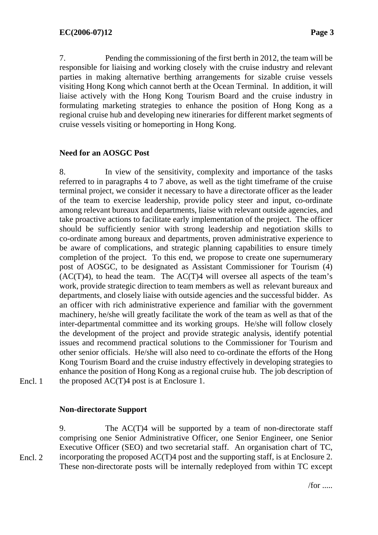7. Pending the commissioning of the first berth in 2012, the team will be responsible for liaising and working closely with the cruise industry and relevant parties in making alternative berthing arrangements for sizable cruise vessels visiting Hong Kong which cannot berth at the Ocean Terminal. In addition, it will liaise actively with the Hong Kong Tourism Board and the cruise industry in formulating marketing strategies to enhance the position of Hong Kong as a regional cruise hub and developing new itineraries for different market segments of cruise vessels visiting or homeporting in Hong Kong.

# **Need for an AOSGC Post**

8. In view of the sensitivity, complexity and importance of the tasks referred to in paragraphs 4 to 7 above, as well as the tight timeframe of the cruise terminal project, we consider it necessary to have a directorate officer as the leader of the team to exercise leadership, provide policy steer and input, co-ordinate among relevant bureaux and departments, liaise with relevant outside agencies, and take proactive actions to facilitate early implementation of the project. The officer should be sufficiently senior with strong leadership and negotiation skills to co-ordinate among bureaux and departments, proven administrative experience to be aware of complications, and strategic planning capabilities to ensure timely completion of the project. To this end, we propose to create one supernumerary post of AOSGC, to be designated as Assistant Commissioner for Tourism (4)  $(AC(T)4)$ , to head the team. The  $AC(T)4$  will oversee all aspects of the team's work, provide strategic direction to team members as well as relevant bureaux and departments, and closely liaise with outside agencies and the successful bidder. As an officer with rich administrative experience and familiar with the government machinery, he/she will greatly facilitate the work of the team as well as that of the inter-departmental committee and its working groups. He/she will follow closely the development of the project and provide strategic analysis, identify potential issues and recommend practical solutions to the Commissioner for Tourism and other senior officials. He/she will also need to co-ordinate the efforts of the Hong Kong Tourism Board and the cruise industry effectively in developing strategies to enhance the position of Hong Kong as a regional cruise hub. The job description of the proposed AC(T)4 post is at Enclosure 1.

Encl. 1

# **Non-directorate Support**

9. The AC(T)4 will be supported by a team of non-directorate staff comprising one Senior Administrative Officer, one Senior Engineer, one Senior Executive Officer (SEO) and two secretarial staff. An organisation chart of TC, incorporating the proposed AC(T)4 post and the supporting staff, is at Enclosure 2. These non-directorate posts will be internally redeployed from within TC except Encl. 2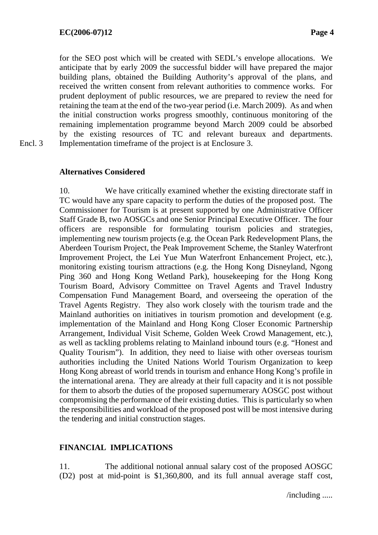for the SEO post which will be created with SEDL's envelope allocations. We anticipate that by early 2009 the successful bidder will have prepared the major building plans, obtained the Building Authority's approval of the plans, and received the written consent from relevant authorities to commence works. For prudent deployment of public resources, we are prepared to review the need for retaining the team at the end of the two-year period (i.e. March 2009). As and when the initial construction works progress smoothly, continuous monitoring of the remaining implementation programme beyond March 2009 could be absorbed by the existing resources of TC and relevant bureaux and departments. Implementation timeframe of the project is at Enclosure 3.

Encl. 3

# **Alternatives Considered**

10. We have critically examined whether the existing directorate staff in TC would have any spare capacity to perform the duties of the proposed post. The Commissioner for Tourism is at present supported by one Administrative Officer Staff Grade B, two AOSGCs and one Senior Principal Executive Officer. The four officers are responsible for formulating tourism policies and strategies, implementing new tourism projects (e.g. the Ocean Park Redevelopment Plans, the Aberdeen Tourism Project, the Peak Improvement Scheme, the Stanley Waterfront Improvement Project, the Lei Yue Mun Waterfront Enhancement Project, etc.), monitoring existing tourism attractions (e.g. the Hong Kong Disneyland, Ngong Ping 360 and Hong Kong Wetland Park), housekeeping for the Hong Kong Tourism Board, Advisory Committee on Travel Agents and Travel Industry Compensation Fund Management Board, and overseeing the operation of the Travel Agents Registry. They also work closely with the tourism trade and the Mainland authorities on initiatives in tourism promotion and development (e.g. implementation of the Mainland and Hong Kong Closer Economic Partnership Arrangement, Individual Visit Scheme, Golden Week Crowd Management, etc.), as well as tackling problems relating to Mainland inbound tours (e.g. "Honest and Quality Tourism"). In addition, they need to liaise with other overseas tourism authorities including the United Nations World Tourism Organization to keep Hong Kong abreast of world trends in tourism and enhance Hong Kong's profile in the international arena. They are already at their full capacity and it is not possible for them to absorb the duties of the proposed supernumerary AOSGC post without compromising the performance of their existing duties. This is particularly so when the responsibilities and workload of the proposed post will be most intensive during the tendering and initial construction stages.

# **FINANCIAL IMPLICATIONS**

11. The additional notional annual salary cost of the proposed AOSGC (D2) post at mid-point is \$1,360,800, and its full annual average staff cost,

/including .....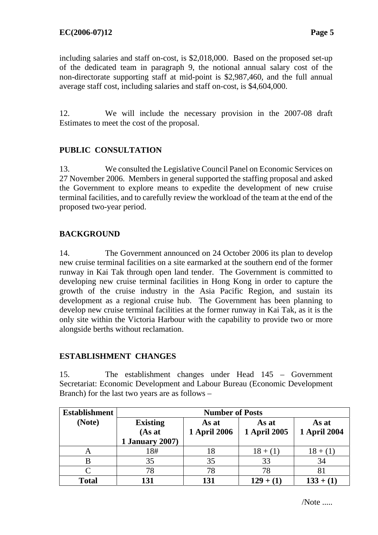including salaries and staff on-cost, is \$2,018,000. Based on the proposed set-up of the dedicated team in paragraph 9, the notional annual salary cost of the non-directorate supporting staff at mid-point is \$2,987,460, and the full annual average staff cost, including salaries and staff on-cost, is \$4,604,000.

12. We will include the necessary provision in the 2007-08 draft Estimates to meet the cost of the proposal.

# **PUBLIC CONSULTATION**

13. We consulted the Legislative Council Panel on Economic Services on 27 November 2006. Members in general supported the staffing proposal and asked the Government to explore means to expedite the development of new cruise terminal facilities, and to carefully review the workload of the team at the end of the proposed two-year period.

# **BACKGROUND**

14. The Government announced on 24 October 2006 its plan to develop new cruise terminal facilities on a site earmarked at the southern end of the former runway in Kai Tak through open land tender. The Government is committed to developing new cruise terminal facilities in Hong Kong in order to capture the growth of the cruise industry in the Asia Pacific Region, and sustain its development as a regional cruise hub. The Government has been planning to develop new cruise terminal facilities at the former runway in Kai Tak, as it is the only site within the Victoria Harbour with the capability to provide two or more alongside berths without reclamation.

# **ESTABLISHMENT CHANGES**

15. The establishment changes under Head 145 – Government Secretariat: Economic Development and Labour Bureau (Economic Development Branch) for the last two years are as follows –

| <b>Establishment</b> | <b>Number of Posts</b>    |                              |                       |                              |  |
|----------------------|---------------------------|------------------------------|-----------------------|------------------------------|--|
| (Note)               | <b>Existing</b><br>(As at | As at<br><b>1 April 2006</b> | As at<br>1 April 2005 | As at<br><b>1 April 2004</b> |  |
|                      | <b>1 January 2007)</b>    |                              |                       |                              |  |
| A                    | 18#                       |                              | $18 + (1)$            | $18 + (1)$                   |  |
|                      | 35                        | 35                           | 33                    | 34                           |  |
|                      | 78                        | 78                           | 78                    | 81                           |  |
| <b>Total</b>         | 131                       | 131                          | $129 + (1)$           | $133 + (1)$                  |  |

/Note .....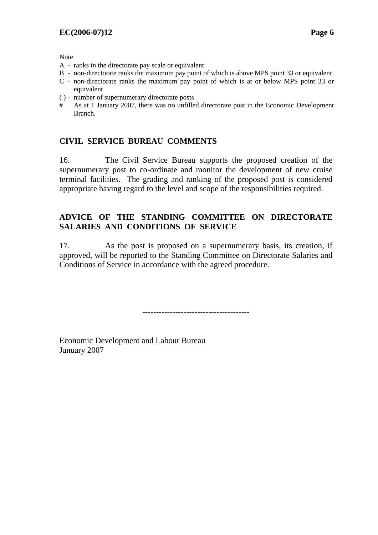Note

- A ranks in the directorate pay scale or equivalent
- B non-directorate ranks the maximum pay point of which is above MPS point 33 or equivalent
- C non-directorate ranks the maximum pay point of which is at or below MPS point 33 or equivalent
- ( ) number of supernumerary directorate posts
- # As at 1 January 2007, there was no unfilled directorate post in the Economic Development Branch.

### **CIVIL SERVICE BUREAU COMMENTS**

16. The Civil Service Bureau supports the proposed creation of the supernumerary post to co-ordinate and monitor the development of new cruise terminal facilities. The grading and ranking of the proposed post is considered appropriate having regard to the level and scope of the responsibilities required.

# **ADVICE OF THE STANDING COMMITTEE ON DIRECTORATE SALARIES AND CONDITIONS OF SERVICE**

17. As the post is proposed on a supernumerary basis, its creation, if approved, will be reported to the Standing Committee on Directorate Salaries and Conditions of Service in accordance with the agreed procedure.

---------------------------------------

Economic Development and Labour Bureau January 2007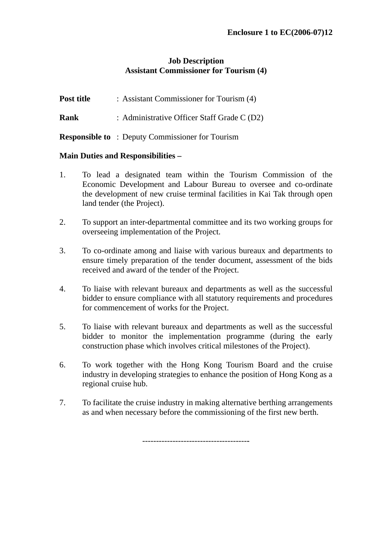# **Job Description Assistant Commissioner for Tourism (4)**

- **Post title :** Assistant Commissioner for Tourism (4)
- **Rank** : Administrative Officer Staff Grade C (D2)
- **Responsible to** : Deputy Commissioner for Tourism

# **Main Duties and Responsibilities –**

- 1. To lead a designated team within the Tourism Commission of the Economic Development and Labour Bureau to oversee and co-ordinate the development of new cruise terminal facilities in Kai Tak through open land tender (the Project).
- 2. To support an inter-departmental committee and its two working groups for overseeing implementation of the Project.
- 3. To co-ordinate among and liaise with various bureaux and departments to ensure timely preparation of the tender document, assessment of the bids received and award of the tender of the Project.
- 4. To liaise with relevant bureaux and departments as well as the successful bidder to ensure compliance with all statutory requirements and procedures for commencement of works for the Project.
- 5. To liaise with relevant bureaux and departments as well as the successful bidder to monitor the implementation programme (during the early construction phase which involves critical milestones of the Project).
- 6. To work together with the Hong Kong Tourism Board and the cruise industry in developing strategies to enhance the position of Hong Kong as a regional cruise hub.
- 7. To facilitate the cruise industry in making alternative berthing arrangements as and when necessary before the commissioning of the first new berth.

--------------------------------------**-**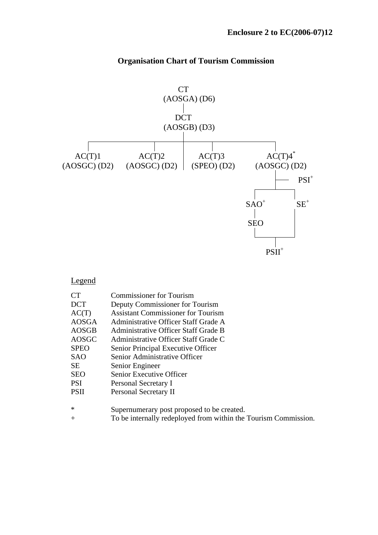

# **Organisation Chart of Tourism Commission**

### Legend

| CТ           | <b>Commissioner for Tourism</b>                                 |
|--------------|-----------------------------------------------------------------|
| <b>DCT</b>   | Deputy Commissioner for Tourism                                 |
| AC(T)        | <b>Assistant Commissioner for Tourism</b>                       |
| <b>AOSGA</b> | Administrative Officer Staff Grade A                            |
| AOSGB        | Administrative Officer Staff Grade B                            |
| AOSGC        | Administrative Officer Staff Grade C                            |
| <b>SPEO</b>  | Senior Principal Executive Officer                              |
| SAO.         | Senior Administrative Officer                                   |
| <b>SE</b>    | Senior Engineer                                                 |
| <b>SEO</b>   | Senior Executive Officer                                        |
| <b>PSI</b>   | Personal Secretary I                                            |
| <b>PSII</b>  | Personal Secretary II                                           |
|              |                                                                 |
| ∗            | Supernumerary post proposed to be created.                      |
| $^+$         | To be internally redeployed from within the Tourism Commission. |